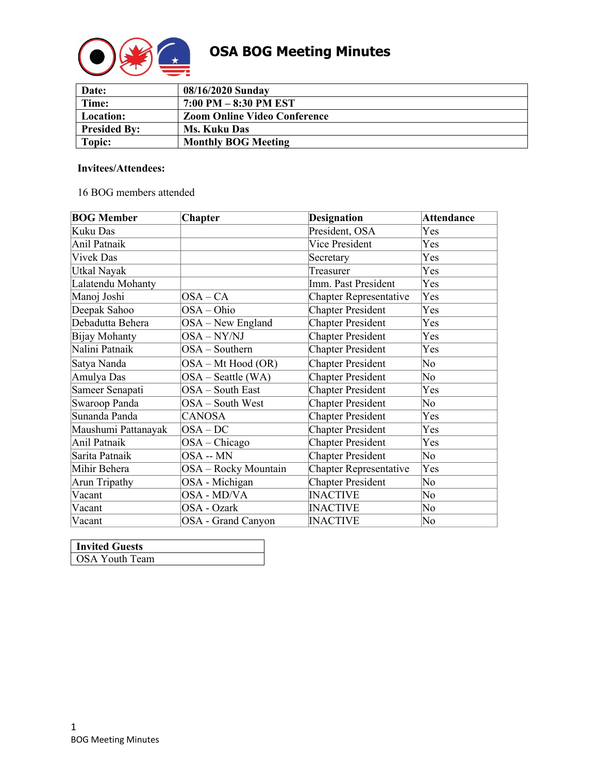

# **OSA BOG Meeting Minutes**

| Date:               | 08/16/2020 Sunday                   |
|---------------------|-------------------------------------|
| Time:               | $7:00$ PM $-8:30$ PM EST            |
| Location:           | <b>Zoom Online Video Conference</b> |
| <b>Presided By:</b> | <b>Ms. Kuku Das</b>                 |
| Topic:              | <b>Monthly BOG Meeting</b>          |

## **Invitees/Attendees:**

## 16 BOG members attended

| <b>BOG Member</b>   | <b>Chapter</b>       | <b>Designation</b>            | <b>Attendance</b> |
|---------------------|----------------------|-------------------------------|-------------------|
| Kuku Das            |                      | President, OSA                | Yes               |
| Anil Patnaik        |                      | Vice President                | Yes               |
| <b>Vivek Das</b>    |                      | Secretary                     | Yes               |
| Utkal Nayak         |                      | Treasurer                     | Yes               |
| Lalatendu Mohanty   |                      | Imm. Past President           | Yes               |
| Manoj Joshi         | $OSA-CA$             | <b>Chapter Representative</b> | Yes               |
| Deepak Sahoo        | $OSA - Ohio$         | <b>Chapter President</b>      | Yes               |
| Debadutta Behera    | $OSA - New England$  | <b>Chapter President</b>      | Yes               |
| Bijay Mohanty       | $OSA - NY/NJ$        | <b>Chapter President</b>      | Yes               |
| Nalini Patnaik      | $OSA - Southern$     | <b>Chapter President</b>      | Yes               |
| Satya Nanda         | $OSA - Mt Hood (OR)$ | <b>Chapter President</b>      | No                |
| Amulya Das          | OSA – Seattle (WA)   | <b>Chapter President</b>      | No                |
| Sameer Senapati     | OSA - South East     | <b>Chapter President</b>      | Yes               |
| Swaroop Panda       | OSA – South West     | <b>Chapter President</b>      | No                |
| Sunanda Panda       | <b>CANOSA</b>        | <b>Chapter President</b>      | Yes               |
| Maushumi Pattanayak | $OSA-DC$             | <b>Chapter President</b>      | Yes               |
| Anil Patnaik        | $OSA - Chicago$      | <b>Chapter President</b>      | Yes               |
| Sarita Patnaik      | OSA -- MN            | <b>Chapter President</b>      | No                |
| Mihir Behera        | OSA - Rocky Mountain | <b>Chapter Representative</b> | Yes               |
| Arun Tripathy       | OSA - Michigan       | <b>Chapter President</b>      | No                |
| Vacant              | OSA - MD/VA          | <b>INACTIVE</b>               | No                |
| Vacant              | OSA - Ozark          | <b>INACTIVE</b>               | No                |
| Vacant              | OSA - Grand Canyon   | <b>INACTIVE</b>               | No                |

| <b>Invited Guests</b> |  |
|-----------------------|--|
| <b>OSA Youth Team</b> |  |